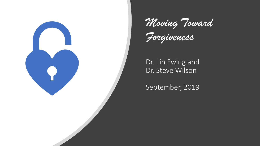

*Moving Toward* 

*Forgiveness*

### Dr. Lin Ewing and Dr. Steve Wilson

September, 2019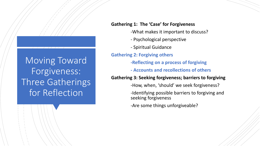### Moving Toward Forgiveness: Three Gatherings for Reflection

### **Gathering 1: The 'Case' for Forgiveness**

- -What makes it important to discuss?
- Psychological perspective
- Spiritual Guidance

### **Gathering 2: Forgiving others**

- **-Reflecting on a process of forgiving**
- **- Accounts and recollections of others**

### **Gathering 3: Seeking forgiveness; barriers to forgiving**

- -How, when, 'should' we seek forgiveness?
- -Identifying possible barriers to forgiving and seeking forgiveness
- -Are some things unforgiveable?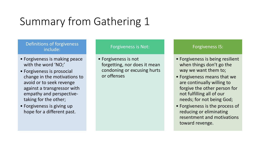# Summary from Gathering 1

### Definitions of forgiveness include:

- Forgiveness is making peace with the word 'NO;'
- Forgiveness is prosocial change in the motivations to avoid or to seek revenge against a transgressor with empathy and perspectivetaking for the other;
- Forgiveness is giving up hope for a different past.

### Forgiveness is Not:

• Forgiveness is not forgetting, nor does it mean condoning or excusing hurts or offenses

### Forgiveness IS:

- Forgiveness is being resilient when things don't go the way we want them to;
- Forgiveness means that we are continually willing to forgive the other person for not fulfilling all of our needs; for not being God;
- Forgiveness is the process of reducing or eliminating resentment and motivations toward revenge.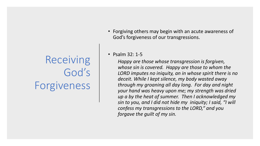Receiving God's Forgiveness • Forgiving others may begin with an acute awareness of God's forgiveness of our transgressions.

### • Psalm 32: 1-5

*Happy are those whose transgression is forgiven, whose sin is covered. Happy are those to whom the LORD imputes no iniquity, an in whose spirit there is no deceit. While I kept silence, my body wasted away through my groaning all day long. For day and night your hand was heavy upon me; my strength was dried up a by the heat of summer. Then I acknowledged my sin to you, and I did not hide my iniquity; I said, "I will confess my transgressions to the LORD," and you forgave the guilt of my sin.*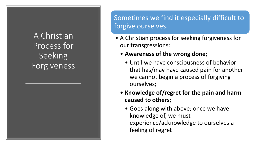### A Christian Process for Seeking Forgiveness

Sometimes we find it especially difficult to forgive ourselves.

- A Christian process for seeking forgiveness for our transgressions:
	- **Awareness of the wrong done;** 
		- Until we have consciousness of behavior that has/may have caused pain for another we cannot begin a process of forgiving ourselves;
	- **Knowledge of/regret for the pain and harm caused to others;**
		- Goes along with above; once we have knowledge of, we must experience/acknowledge to ourselves a feeling of regret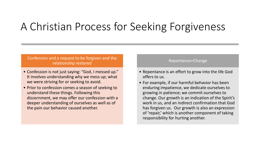### A Christian Process for Seeking Forgiveness

### Confession and a request to be forgiven and the relationship restored

- Confession is not just saying: "God, I messed up." It involves understanding why we mess up; what we were striving for or seeking to avoid.
- Prior to confession comes a season of seeking to understand these things. Following this discernment, we may offer our confession with a deeper understanding of ourselves as well as of the pain our behavior caused another.

#### Repentance=Change

- Repentance is an effort to grow into the life God offers to us.
- For example, if our harmful behavior has been enduring impatience, we dedicate ourselves to growing in patience; we commit ourselves to change. Our growth is an indication of the Spirit's work in us, and an indirect confirmation that God has forgiven us. Our growth is also an expression of 'repair,' which is another component of taking responsibility for hurting another.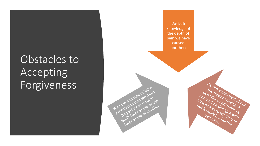## Obstacles to Accepting Forgiveness

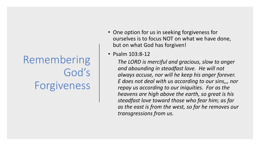# Remembering God's Forgiveness

- One option for us in seeking forgiveness for ourselves is to focus NOT on what we have done, but on what God has forgiven!
- Psalm 103:8-12

*The LORD is merciful and gracious, slow to anger and abounding in steadfast love. He will not always accuse, nor will he keep his anger forever. E does not deal with us according to our sins,,, nor repay us according to our iniquities. For as the heavens are high above the earth, so great is his steadfast love toward those who fear him; as far as the east is from the west, so far he removes our transgressions from us.*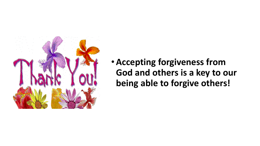

•**Accepting forgiveness from God and others is a key to our being able to forgive others!**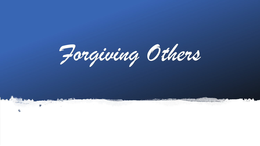*Forgiving Others* 

en<br>17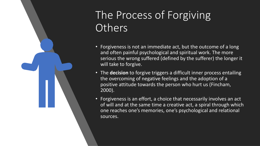## The Process of Forgiving **Others**

- Forgiveness is not an immediate act, but the outcome of a long and often painful psychological and spiritual work. The more serious the wrong suffered (defined by the sufferer) the longer it will take to forgive.
- The **decision** to forgive triggers a difficult inner process entailing the overcoming of negative feelings and the adoption of a positive attitude towards the person who hurt us (Fincham, 2000).
- Forgiveness is an effort, a choice that necessarily involves an act of will and at the same time a creative act, a spiral through which one reaches one's memories, one's psychological and relational sources.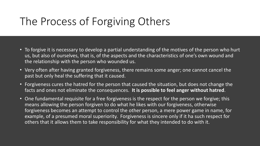### The Process of Forgiving Others

- To forgive it is necessary to develop a partial understanding of the motives of the person who hurt us, but also of ourselves, that is, of the aspects and the characteristics of one's own wound and the relationship with the person who wounded us.
- Very often after having granted forgiveness, there remains some anger; one cannot cancel the past but only heal the suffering that it caused.
- Forgiveness cures the hatred for the person that caused the situation, but does not change the facts and ones not eliminate the consequences. **It is possible to feel anger without hatred**.
- One fundamental requisite for a free forgiveness is the respect for the person we forgive; this means allowing the person forgiven to do what he likes with our forgiveness, otherwise forgiveness becomes an attempt to control the other person, a mere power game in name, for example, of a presumed moral superiority. Forgiveness is sincere only if it ha such respect for others that it allows them to take responsibility for what they intended to do with it.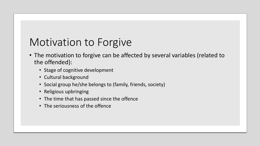### Motivation to Forgive

- The motivation to forgive can be affected by several variables (related to the offended):
	- Stage of cognitive development
	- Cultural background
	- Social group he/she belongs to (family, friends, society)
	- Religious upbringing
	- The time that has passed since the offence
	- The seriousness of the offence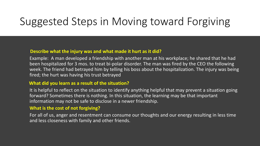### Suggested Steps in Moving toward Forgiving

### **Describe what the injury was and what made it hurt as it did?**

Example: A man developed a friendship with another man at his workplace; he shared that he had been hospitalized for 3 mos. to treat bi-polar disorder. The man was fired by the CEO the following week. The friend had betrayed him by telling his boss about the hospitalization. The injury was being fired; the hurt was having his trust betrayed

### **What did you learn as a result of the situation?**

It is helpful to reflect on the situation to identify anything helpful that may prevent a situation going forward? Sometimes there is nothing. In this situation, the learning may be that important information may not be safe to disclose in a newer friendship.

### **What is the cost of not forgiving?**

For all of us, anger and resentment can consume our thoughts and our energy resulting in less time and less closeness with family and other friends.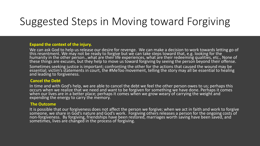### Suggested Steps in Moving toward Forgiving

#### **Expand the context of the injury.**

We can ask God to help us release our desire for revenge. We can make a decision to work towards letting go of this resentment. We may not be ready to forgive but we can take steps toward that, e.g. looking for the  $\,$ humanity in the other person…what are their life experiences, what are their redeeming qualities, etc., None of these things are excuses, but they help to move us toward forgiving by seeing the person beyond their offense.

Sometimes seeking justice is important; confronting the other for the actions that caused the wound may be essential; victim's statements in court, the #MeToo movement, telling the story may all be essential to healing and leading to forgiveness.

#### **Cancel the Debt**

In time and with God's help, we are able to cancel the debt we feel the other person owes to us; perhaps this occurs when we realize that we need and want to be forgiven for something we have done. Perhaps it comes when our lives are in a better place; perhaps it comes when we grow weary of carrying the weight and expending the energy to carry the memory.

#### **The Outcome**

It is possible that our forgiveness does not affect the person we forgive; when we act in faith and work to forgive someone, we share in God's nature and God's work. Forgiving others releases a person for the ongoing costs of non-forgiveness. By forgiving, friendships have been restored, marriages worth saving have been saved, and sometimes, lives are changed in the process of forgiving.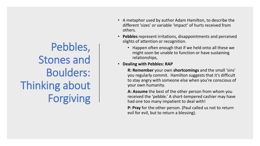# Pebbles, Stones and Boulders: Thinking about Forgiving

- A metaphor used by author Adam Hamilton, to describe the different 'sizes' or variable 'impact' of hurts received from others.
- **Pebbles** represent irritations, disappointments and perceived slights of attention or recognition.
	- Happen often enough that if we held onto all these we might soon be unable to function or have sustaining relationships,
- **Dealing with Pebbles: RAP**

**R: Remember** your own **shortcomings** and the small 'sins' you regularly commit. Hamilton suggests that it's difficult to stay angry with someone else when you're conscious of your own humanity.

**A: Assume** the best of the other person from whom you received the 'pebble.' A short-tempered cashier may have had one too many impatient to deal with!

**P: Pray** for the other person. (Paul called us not to return evil for evil, but to return a blessing).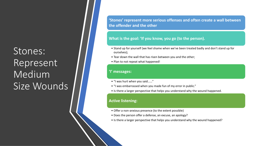### Stones: Represent Medium Size Wounds

**'Stones' represent more serious offenses and often create a wall between the offender and the other**

#### **What is the goal: 'If you know, you go (to the person).**

- Stand up for yourself (we feel shame when we've been treated badly and don't stand up for ourselves);
- Tear down the wall that has risen between you and the other;
- Plan to not repeat what happened!

#### **'I' messages:**

- "I was hurt when you said……"
- "I was embarrassed when you made fun of my error in public."
- Is there a larger perspective that helps you understand why the wound happened.

#### **Active listening:**

- Offer a non-anxious presence (to the extent possible)
- Does the person offer a defense, an excuse, an apology?
- Is there a larger perspective that helps you understand why the wound happened?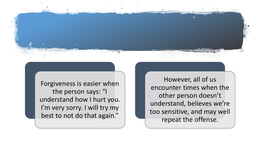

Forgiveness is easier when the person says: "I understand how I hurt you. I'm very sorry. I will try my best to not do that again."

However, all of us encounter times when the other person doesn't understand, believes we're too sensitive, and may well repeat the offense.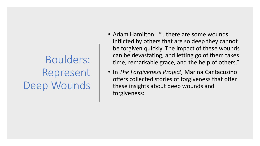Boulders: Represent Deep Wounds

- Adam Hamilton: "…there are some wounds inflicted by others that are so deep they cannot be forgiven quickly. The impact of these wounds can be devastating, and letting go of them takes time, remarkable grace, and the help of others."
- In *The Forgiveness Project,* Marina Cantacuzino offers collected stories of forgiveness that offer these insights about deep wounds and forgiveness: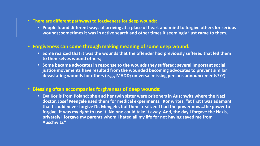- **There are different pathways to forgiveness for deep wounds:**
	- **People found different ways of arriving at a place of heart and mind to forgive others for serious wounds; sometimes it was in active search and other times it seemingly 'just came to them.**
- **Forgiveness can come through making meaning of some deep wound:**
	- **Some realized that it was the wounds that the offender had previously suffered that led them to themselves wound others;**
	- **Some became advocates in response to the wounds they suffered; several important social justice movements have resulted from the wounded becoming advocates to prevent similar devastating wounds for others (e.g., MADD; universal missing persons announcements???)**

### • **Blessing often accompanies forgiveness of deep wounds:**

• **Eva Kor is from Poland; she and her twin sister were prisoners in Auschwitz where the Nazi doctor, Josef Mengele used them for medical experiments. Kor writes, "at first I was adamant that I could never forgive Dr. Mengele, but then I realized I had the power now…the power to**  forgive. It was my right to use it. No one could take it away. And, the day I forgave the Nazis, **privately I forgave my parents whom I hated all my life for not having saved me from Auschwitz."**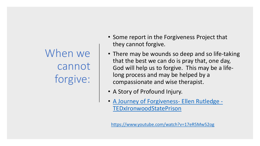When we cannot forgive:

- Some report in the Forgiveness Project that they cannot forgive.
- There may be wounds so deep and so life-taking that the best we can do is pray that, one day, God will help us to forgive. This may be a lifelong process and may be helped by a compassionate and wise therapist.
- A Story of Profound Injury.
- A Journey of Forgiveness- Ellen Rutledge [TEDxIronwoodStatePrison](https://www.youtube.com/watch?v=17eR5Mw52og)

<https://www.youtube.com/watch?v=17eR5Mw52og>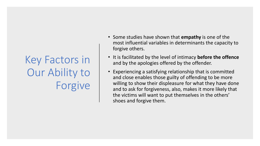# Key Factors in Our Ability to Forgive

- Some studies have shown that **empathy** is one of the most influential variables in determinants the capacity to forgive others.
- It is facilitated by the level of intimacy **before the offence**  and by the apologies offered by the offender.
- Experiencing a satisfying relationship that is committed and close enables those guilty of offending to be more willing to show their displeasure for what they have done and to ask for forgiveness, also, makes it more likely that the victims will want to put themselves in the others' shoes and forgive them.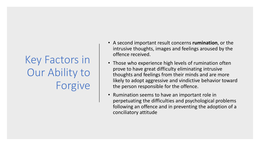# Key Factors in Our Ability to Forgive

- A second important result concerns **rumination**, or the intrusive thoughts, images and feelings aroused by the offence received.
- Those who experience high levels of rumination often prove to have great difficulty eliminating intrusive thoughts and feelings from their minds and are more likely to adopt aggressive and vindictive behavior toward the person responsible for the offence.
- Rumination seems to have an important role in perpetuating the difficulties and psychological problems following an offence and in preventing the adoption of a conciliatory attitude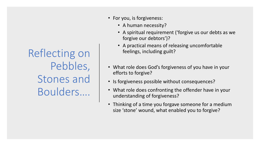Reflecting on Pebbles, Stones and Boulders….

- For you, is forgiveness:
	- A human necessity?
	- A spiritual requirement ('forgive us our debts as we forgive our debtors')?
	- A practical means of releasing uncomfortable feelings, including guilt?
- What role does God's forgiveness of you have in your efforts to forgive?
- Is forgiveness possible without consequences?
- What role does confronting the offender have in your understanding of forgiveness?
- Thinking of a time you forgave someone for a medium size 'stone' wound, what enabled you to forgive?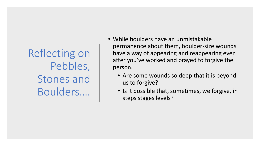Reflecting on Pebbles, Stones and Boulders….

- While boulders have an unmistakable permanence about them, boulder-size wounds have a way of appearing and reappearing even after you've worked and prayed to forgive the person.
	- Are some wounds so deep that it is beyond us to forgive?
	- Is it possible that, sometimes, we forgive, in steps stages levels?